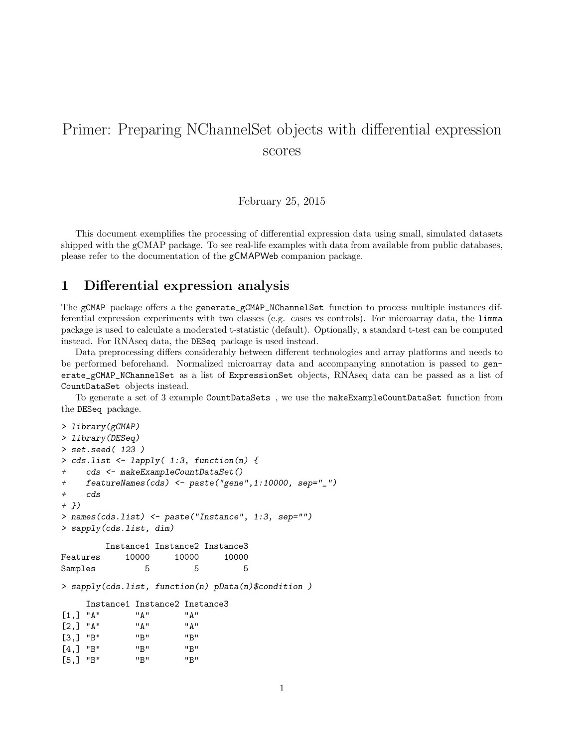## Primer: Preparing NChannelSet objects with differential expression scores

February 25, 2015

This document exemplifies the processing of differential expression data using small, simulated datasets shipped with the gCMAP package. To see real-life examples with data from available from public databases, please refer to the documentation of the gCMAPWeb companion package.

## 1 Differential expression analysis

The gCMAP package offers a the generate\_gCMAP\_NChannelSet function to process multiple instances differential expression experiments with two classes (e.g. cases vs controls). For microarray data, the limma package is used to calculate a moderated t-statistic (default). Optionally, a standard t-test can be computed instead. For RNAseq data, the DESeq package is used instead.

Data preprocessing differs considerably between different technologies and array platforms and needs to be performed beforehand. Normalized microarray data and accompanying annotation is passed to generate\_gCMAP\_NChannelSet as a list of ExpressionSet objects, RNAseq data can be passed as a list of CountDataSet objects instead.

To generate a set of 3 example CountDataSets , we use the makeExampleCountDataSet function from the DESeq package.

```
> library(gCMAP)
> library(DESeq)
> set.seed( 123 )
> cds.list \leq lapply( 1:3, function(n) {
+ cds <- makeExampleCountDataSet()
+ featureNames(cds) <- paste("gene",1:10000, sep="_")
+ cds
+ })
> names(cds.list) <- paste("Instance", 1:3, sep="")
> sapply(cds.list, dim)
        Instance1 Instance2 Instance3
Features 10000 10000 10000
Samples 5 5 5 5
> sapply(cds.list, function(n) pData(n)$condition )
    Instance1 Instance2 Instance3
[1, 1 \quad "A" \quad "A" \quad "A"[2,] "A" "A" "A"
[3,] "B" "B" "B"
[4,] "B" "B" "B"
[5,] "B" "B" "B"
```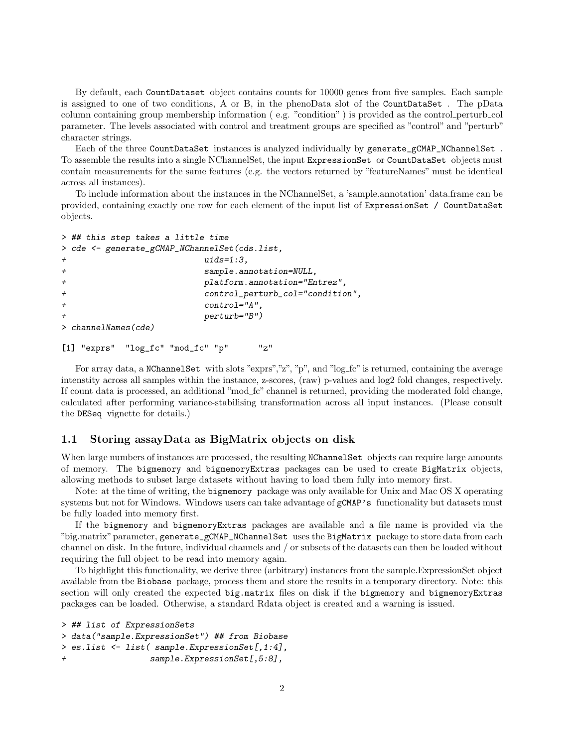By default, each CountDataset object contains counts for 10000 genes from five samples. Each sample is assigned to one of two conditions, A or B, in the phenoData slot of the CountDataSet . The pData column containing group membership information ( e.g. "condition" ) is provided as the control perturb col parameter. The levels associated with control and treatment groups are specified as "control" and "perturb" character strings.

Each of the three CountDataSet instances is analyzed individually by generate\_gCMAP\_NChannelSet . To assemble the results into a single NChannelSet, the input ExpressionSet or CountDataSet objects must contain measurements for the same features (e.g. the vectors returned by "featureNames" must be identical across all instances).

To include information about the instances in the NChannelSet, a 'sample.annotation' data.frame can be provided, containing exactly one row for each element of the input list of ExpressionSet / CountDataSet objects.

```
> ## this step takes a little time
> cde <- generate_gCMAP_NChannelSet(cds.list,
+ uids=1:3,
+ sample.annotation=NULL,
+ platform.annotation="Entrez",
+ control_perturb_col="condition",
+ control="A",
                  perturb="B")
> channelNames(cde)
```

```
[1] "exprs" "log_fc" "mod_fc" "p" "z"
```
For array data, a NChannelSet with slots "exprs","z", "p", and "log\_fc" is returned, containing the average intenstity across all samples within the instance, z-scores, (raw) p-values and log2 fold changes, respectively. If count data is processed, an additional "mod\_fc" channel is returned, providing the moderated fold change, calculated after performing variance-stabilising transformation across all input instances. (Please consult the DESeq vignette for details.)

## 1.1 Storing assayData as BigMatrix objects on disk

When large numbers of instances are processed, the resulting NChannelSet objects can require large amounts of memory. The bigmemory and bigmemoryExtras packages can be used to create BigMatrix objects, allowing methods to subset large datasets without having to load them fully into memory first.

Note: at the time of writing, the bigmemory package was only available for Unix and Mac OS X operating systems but not for Windows. Windows users can take advantage of  $gCMAP$ 's functionality but datasets must be fully loaded into memory first.

If the bigmemory and bigmemoryExtras packages are available and a file name is provided via the "big.matrix"parameter, generate\_gCMAP\_NChannelSet uses the BigMatrix package to store data from each channel on disk. In the future, individual channels and / or subsets of the datasets can then be loaded without requiring the full object to be read into memory again.

To highlight this functionality, we derive three (arbitrary) instances from the sample.ExpressionSet object available from tbe Biobase package, process them and store the results in a temporary directory. Note: this section will only created the expected big.matrix files on disk if the bigmemory and bigmemoryExtras packages can be loaded. Otherwise, a standard Rdata object is created and a warning is issued.

```
> ## list of ExpressionSets
> data("sample.ExpressionSet") ## from Biobase
> es.list <- list( sample.ExpressionSet[,1:4],
+ sample.ExpressionSet[,5:8],
```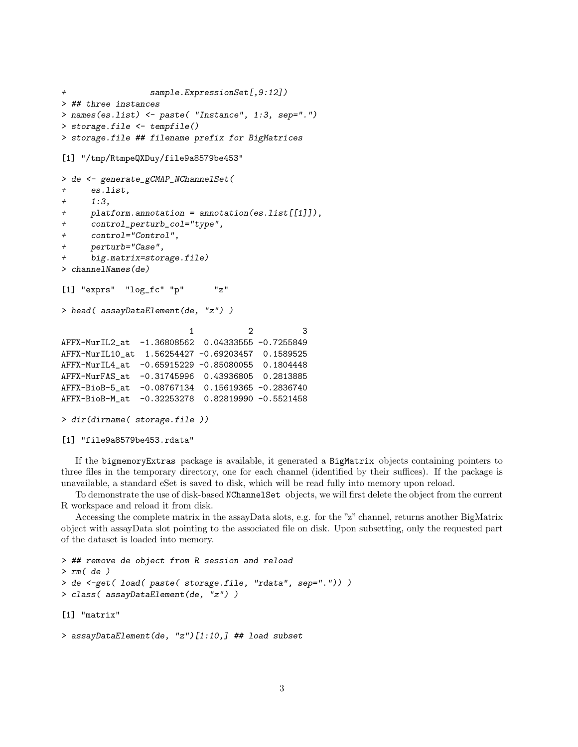```
+ sample.ExpressionSet[,9:12])
> ## three instances
> names(es.list) <- paste( "Instance", 1:3, sep=".")
> storage.file <- tempfile()
> storage.file ## filename prefix for BigMatrices
[1] "/tmp/RtmpeQXDuy/file9a8579be453"
> de <- generate_gCMAP_NChannelSet(
+ es.list,
+ 1:3,
+ platform.annotation = annotation(es.list[[1]]),
+ control_perturb_col="type",
+ control="Control",
+ perturb="Case",
+ big.matrix=storage.file)
> channelNames(de)
[1] "exprs" "log_fc" "p" "z"
> head( assayDataElement(de, "z") )
                        1 2 3
AFFX-MurIL2_at -1.36808562 0.04333555 -0.7255849
AFFX-MurIL10_at 1.56254427 -0.69203457 0.1589525
AFFX-MurIL4_at -0.65915229 -0.85080055 0.1804448
AFFX-MurFAS_at -0.31745996 0.43936805 0.2813885
AFFX-BioB-5_at -0.08767134 0.15619365 -0.2836740
AFFX-BioB-M_at -0.32253278 0.82819990 -0.5521458
> dir(dirname( storage.file ))
```

```
[1] "file9a8579be453.rdata"
```
If the bigmemoryExtras package is available, it generated a BigMatrix objects containing pointers to three files in the temporary directory, one for each channel (identified by their suffices). If the package is unavailable, a standard eSet is saved to disk, which will be read fully into memory upon reload.

To demonstrate the use of disk-based NChannelSet objects, we will first delete the object from the current R workspace and reload it from disk.

Accessing the complete matrix in the assayData slots, e.g. for the "z" channel, returns another BigMatrix object with assayData slot pointing to the associated file on disk. Upon subsetting, only the requested part of the dataset is loaded into memory.

```
> ## remove de object from R session and reload
> rm( de )
> de <-get( load( paste( storage.file, "rdata", sep=".")) )
> class( assayDataElement(de, "z") )
[1] "matrix"
```

```
> assayDataElement(de, "z")[1:10,] ## load subset
```